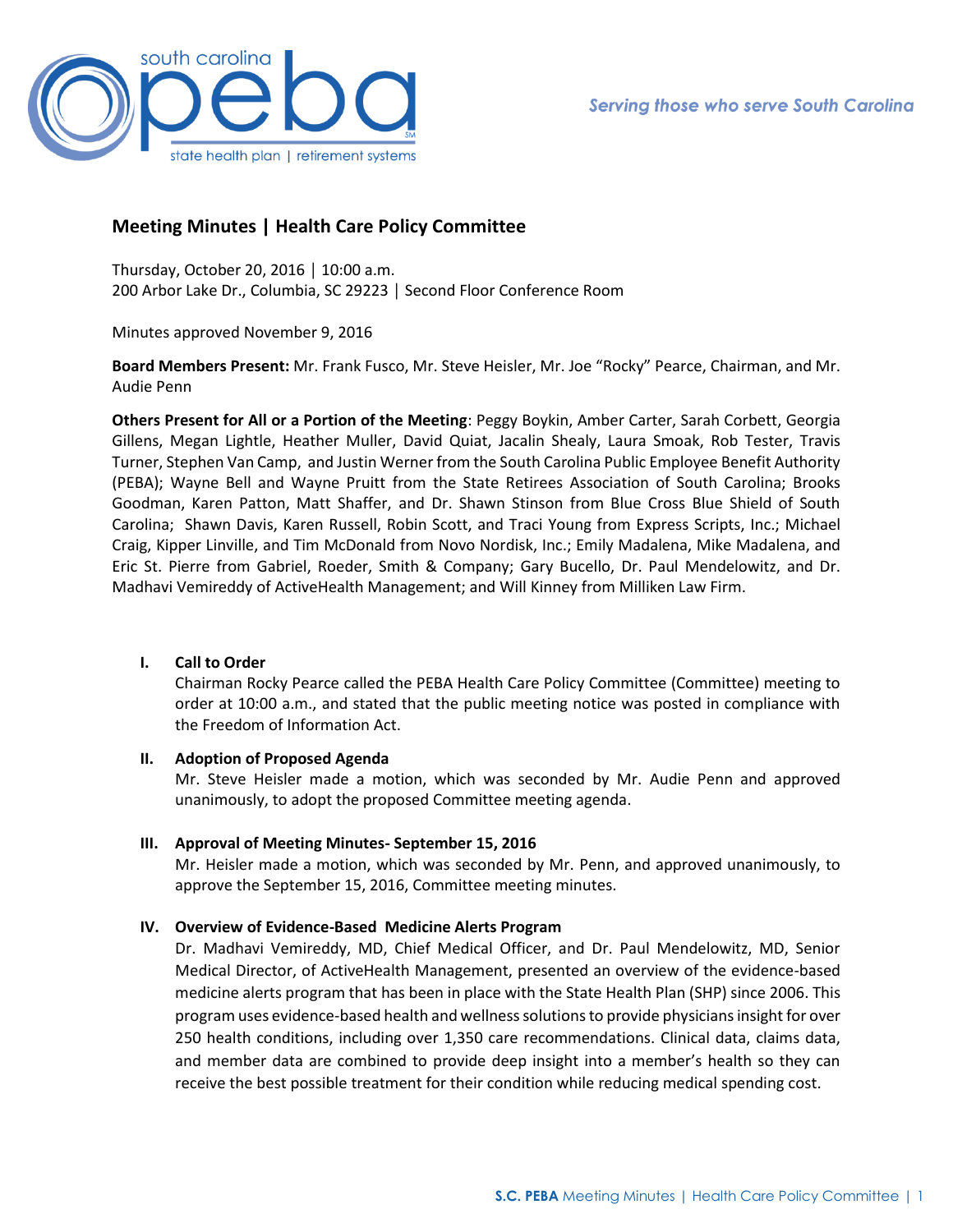

# **Meeting Minutes | Health Care Policy Committee**

Thursday, October 20, 2016 │ 10:00 a.m. 200 Arbor Lake Dr., Columbia, SC 29223 │ Second Floor Conference Room

Minutes approved November 9, 2016

**Board Members Present:** Mr. Frank Fusco, Mr. Steve Heisler, Mr. Joe "Rocky" Pearce, Chairman, and Mr. Audie Penn

**Others Present for All or a Portion of the Meeting**: Peggy Boykin, Amber Carter, Sarah Corbett, Georgia Gillens, Megan Lightle, Heather Muller, David Quiat, Jacalin Shealy, Laura Smoak, Rob Tester, Travis Turner, Stephen Van Camp, and Justin Werner from the South Carolina Public Employee Benefit Authority (PEBA); Wayne Bell and Wayne Pruitt from the State Retirees Association of South Carolina; Brooks Goodman, Karen Patton, Matt Shaffer, and Dr. Shawn Stinson from Blue Cross Blue Shield of South Carolina; Shawn Davis, Karen Russell, Robin Scott, and Traci Young from Express Scripts, Inc.; Michael Craig, Kipper Linville, and Tim McDonald from Novo Nordisk, Inc.; Emily Madalena, Mike Madalena, and Eric St. Pierre from Gabriel, Roeder, Smith & Company; Gary Bucello, Dr. Paul Mendelowitz, and Dr. Madhavi Vemireddy of ActiveHealth Management; and Will Kinney from Milliken Law Firm.

#### **I. Call to Order**

Chairman Rocky Pearce called the PEBA Health Care Policy Committee (Committee) meeting to order at 10:00 a.m., and stated that the public meeting notice was posted in compliance with the Freedom of Information Act.

## **II. Adoption of Proposed Agenda**

Mr. Steve Heisler made a motion, which was seconded by Mr. Audie Penn and approved unanimously, to adopt the proposed Committee meeting agenda.

## **III. Approval of Meeting Minutes- September 15, 2016**

Mr. Heisler made a motion, which was seconded by Mr. Penn, and approved unanimously, to approve the September 15, 2016, Committee meeting minutes.

## **IV. Overview of Evidence-Based Medicine Alerts Program**

Dr. Madhavi Vemireddy, MD, Chief Medical Officer, and Dr. Paul Mendelowitz, MD, Senior Medical Director, of ActiveHealth Management, presented an overview of the evidence-based medicine alerts program that has been in place with the State Health Plan (SHP) since 2006. This program uses evidence-based health and wellness solutions to provide physicians insight for over 250 health conditions, including over 1,350 care recommendations. Clinical data, claims data, and member data are combined to provide deep insight into a member's health so they can receive the best possible treatment for their condition while reducing medical spending cost.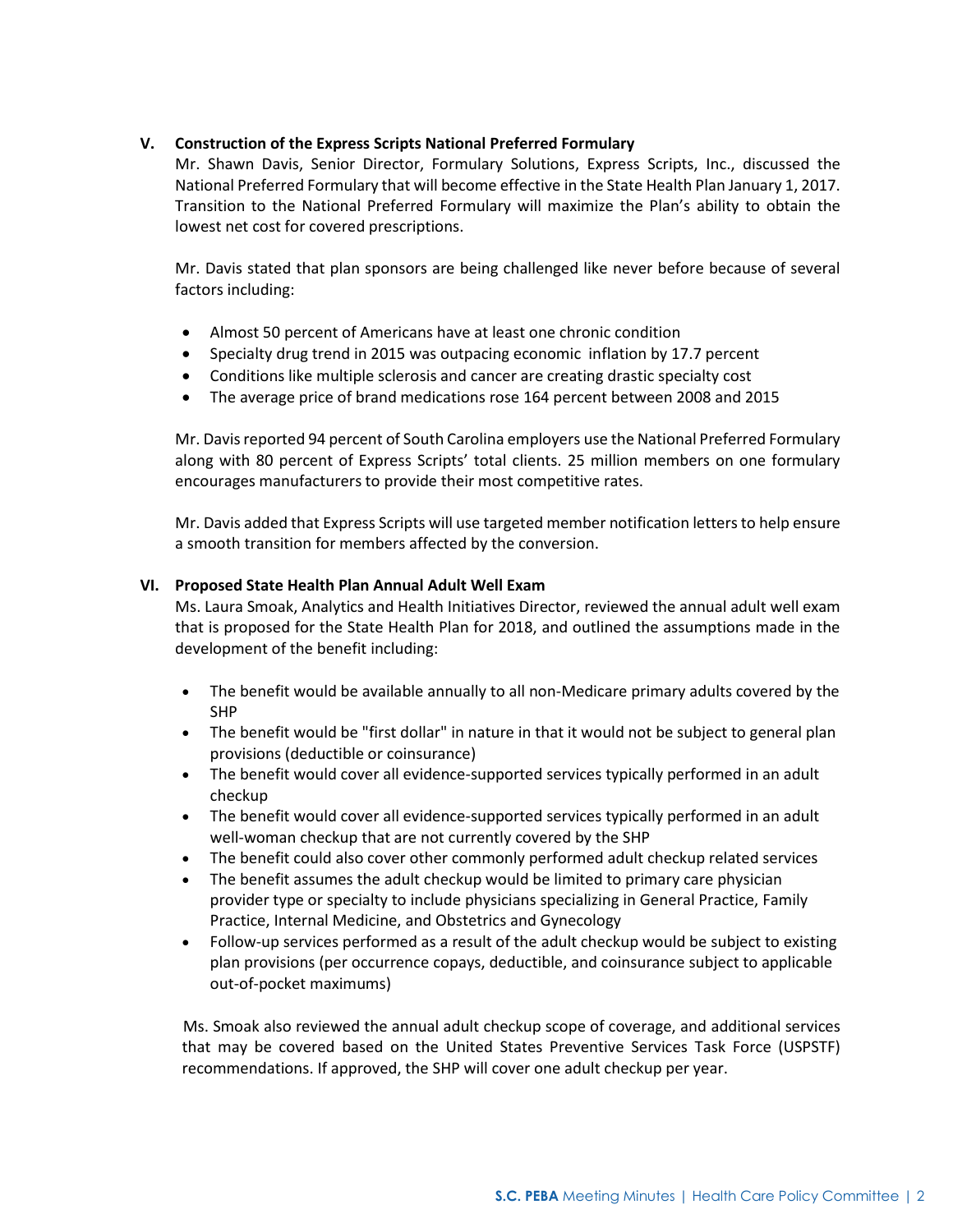## **V. Construction of the Express Scripts National Preferred Formulary**

Mr. Shawn Davis, Senior Director, Formulary Solutions, Express Scripts, Inc., discussed the National Preferred Formulary that will become effective in the State Health Plan January 1, 2017. Transition to the National Preferred Formulary will maximize the Plan's ability to obtain the lowest net cost for covered prescriptions.

Mr. Davis stated that plan sponsors are being challenged like never before because of several factors including:

- Almost 50 percent of Americans have at least one chronic condition
- Specialty drug trend in 2015 was outpacing economic inflation by 17.7 percent
- Conditions like multiple sclerosis and cancer are creating drastic specialty cost
- The average price of brand medications rose 164 percent between 2008 and 2015

Mr. Davis reported 94 percent of South Carolina employers use the National Preferred Formulary along with 80 percent of Express Scripts' total clients. 25 million members on one formulary encourages manufacturers to provide their most competitive rates.

Mr. Davis added that Express Scripts will use targeted member notification letters to help ensure a smooth transition for members affected by the conversion.

## **VI. Proposed State Health Plan Annual Adult Well Exam**

Ms. Laura Smoak, Analytics and Health Initiatives Director, reviewed the annual adult well exam that is proposed for the State Health Plan for 2018, and outlined the assumptions made in the development of the benefit including:

- The benefit would be available annually to all non-Medicare primary adults covered by the SHP
- The benefit would be "first dollar" in nature in that it would not be subject to general plan provisions (deductible or coinsurance)
- The benefit would cover all evidence-supported services typically performed in an adult checkup
- The benefit would cover all evidence-supported services typically performed in an adult well-woman checkup that are not currently covered by the SHP
- The benefit could also cover other commonly performed adult checkup related services
- The benefit assumes the adult checkup would be limited to primary care physician provider type or specialty to include physicians specializing in General Practice, Family Practice, Internal Medicine, and Obstetrics and Gynecology
- Follow-up services performed as a result of the adult checkup would be subject to existing plan provisions (per occurrence copays, deductible, and coinsurance subject to applicable out-of-pocket maximums)

 Ms. Smoak also reviewed the annual adult checkup scope of coverage, and additional services that may be covered based on the United States Preventive Services Task Force (USPSTF) recommendations. If approved, the SHP will cover one adult checkup per year.